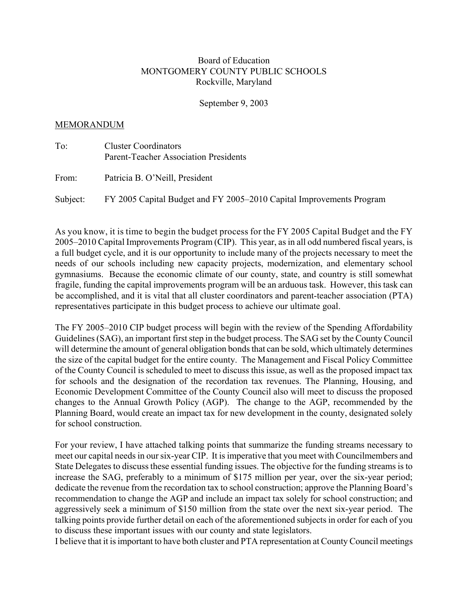## Board of Education MONTGOMERY COUNTY PUBLIC SCHOOLS Rockville, Maryland

September 9, 2003

## MEMORANDUM

To: Cluster Coordinators Parent-Teacher Association Presidents

From: Patricia B. O'Neill, President

Subject: FY 2005 Capital Budget and FY 2005–2010 Capital Improvements Program

As you know, it is time to begin the budget process for the FY 2005 Capital Budget and the FY 2005–2010 Capital Improvements Program (CIP). This year, as in all odd numbered fiscal years, is a full budget cycle, and it is our opportunity to include many of the projects necessary to meet the needs of our schools including new capacity projects, modernization, and elementary school gymnasiums. Because the economic climate of our county, state, and country is still somewhat fragile, funding the capital improvements program will be an arduous task. However, this task can be accomplished, and it is vital that all cluster coordinators and parent-teacher association (PTA) representatives participate in this budget process to achieve our ultimate goal.

The FY 2005–2010 CIP budget process will begin with the review of the Spending Affordability Guidelines (SAG), an important first step in the budget process. The SAG set by the County Council will determine the amount of general obligation bonds that can be sold, which ultimately determines the size of the capital budget for the entire county. The Management and Fiscal Policy Committee of the County Council is scheduled to meet to discuss this issue, as well as the proposed impact tax for schools and the designation of the recordation tax revenues. The Planning, Housing, and Economic Development Committee of the County Council also will meet to discuss the proposed changes to the Annual Growth Policy (AGP). The change to the AGP, recommended by the Planning Board, would create an impact tax for new development in the county, designated solely for school construction.

For your review, I have attached talking points that summarize the funding streams necessary to meet our capital needs in our six-year CIP. It is imperative that you meet with Councilmembers and State Delegates to discuss these essential funding issues. The objective for the funding streams is to increase the SAG, preferably to a minimum of \$175 million per year, over the six-year period; dedicate the revenue from the recordation tax to school construction; approve the Planning Board's recommendation to change the AGP and include an impact tax solely for school construction; and aggressively seek a minimum of \$150 million from the state over the next six-year period. The talking points provide further detail on each of the aforementioned subjects in order for each of you to discuss these important issues with our county and state legislators.

I believe that it is important to have both cluster and PTA representation at County Council meetings